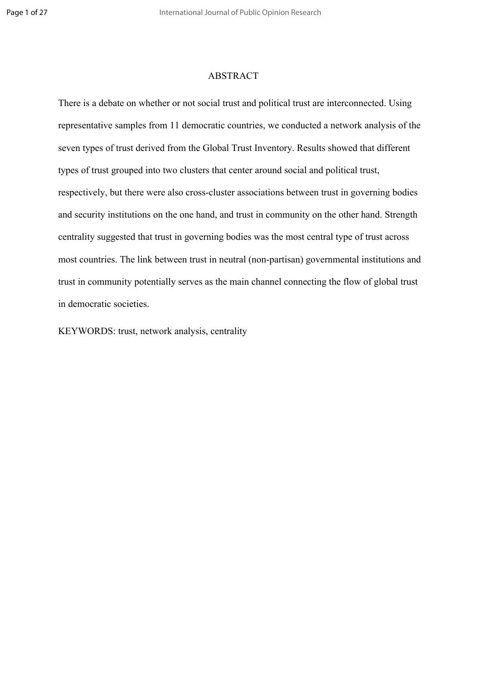# ABSTRACT

There is a debate on whether or not social trust and political trust are interconnected. Using representative samples from 11 democratic countries, we conducted a network analysis of the seven types of trust derived from the Global Trust Inventory. Results showed that different types of trust grouped into two clusters that center around social and political trust, respectively, but there were also cross-cluster associations between trust in governing bodies and security institutions on the one hand, and trust in community on the other hand. Strength centrality suggested that trust in governing bodies was the most central type of trust across most countries. The link between trust in neutral (non-partisan) governmental institutions and trust in community potentially serves as the main channel connecting the flow of global trust in democratic societies.

KEYWORDS: trust, network analysis, centrality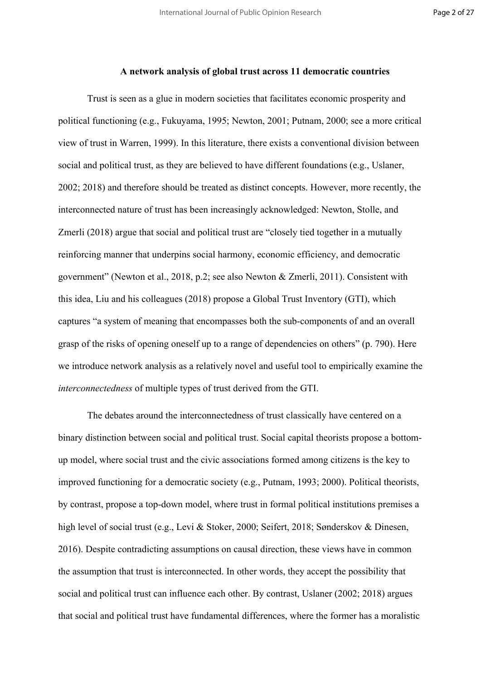#### **A network analysis of global trust across 11 democratic countries**

Trust is seen as a glue in modern societies that facilitates economic prosperity and political functioning (e.g., Fukuyama, 1995; Newton, 2001; Putnam, 2000; see a more critical view of trust in Warren, 1999). In this literature, there exists a conventional division between social and political trust, as they are believed to have different foundations (e.g., Uslaner, 2002; 2018) and therefore should be treated as distinct concepts. However, more recently, the interconnected nature of trust has been increasingly acknowledged: Newton, Stolle, and Zmerli (2018) argue that social and political trust are "closely tied together in a mutually reinforcing manner that underpins social harmony, economic efficiency, and democratic government" (Newton et al., 2018, p.2; see also Newton & Zmerli, 2011). Consistent with this idea, Liu and his colleagues (2018) propose a Global Trust Inventory (GTI), which captures "a system of meaning that encompasses both the sub-components of and an overall grasp of the risks of opening oneself up to a range of dependencies on others" (p. 790). Here we introduce network analysis as a relatively novel and useful tool to empirically examine the *interconnectedness* of multiple types of trust derived from the GTI.

The debates around the interconnectedness of trust classically have centered on a binary distinction between social and political trust. Social capital theorists propose a bottomup model, where social trust and the civic associations formed among citizens is the key to improved functioning for a democratic society (e.g., Putnam, 1993; 2000). Political theorists, by contrast, propose a top-down model, where trust in formal political institutions premises a high level of social trust (e.g., Levi & Stoker, 2000; Seifert, 2018; Sønderskov & Dinesen, 2016). Despite contradicting assumptions on causal direction, these views have in common the assumption that trust is interconnected. In other words, they accept the possibility that social and political trust can influence each other. By contrast, Uslaner (2002; 2018) argues that social and political trust have fundamental differences, where the former has a moralistic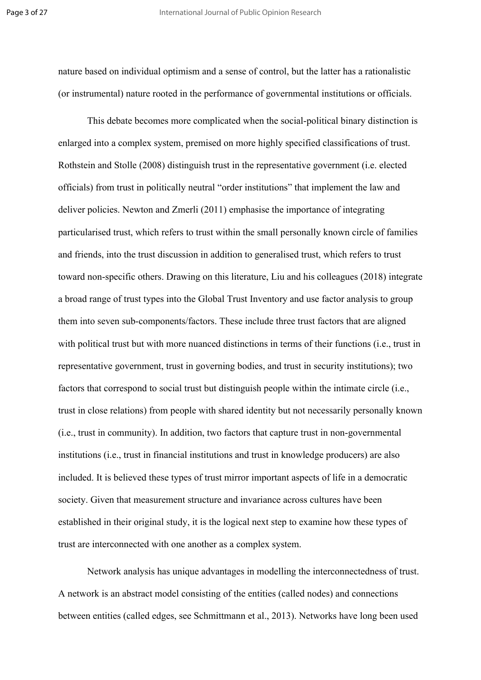nature based on individual optimism and a sense of control, but the latter has a rationalistic (or instrumental) nature rooted in the performance of governmental institutions or officials.

 This debate becomes more complicated when the social-political binary distinction is enlarged into a complex system, premised on more highly specified classifications of trust. Rothstein and Stolle (2008) distinguish trust in the representative government (i.e. elected officials) from trust in politically neutral "order institutions" that implement the law and deliver policies. Newton and Zmerli (2011) emphasise the importance of integrating particularised trust, which refers to trust within the small personally known circle of families and friends, into the trust discussion in addition to generalised trust, which refers to trust toward non-specific others. Drawing on this literature, Liu and his colleagues (2018) integrate a broad range of trust types into the Global Trust Inventory and use factor analysis to group them into seven sub-components/factors. These include three trust factors that are aligned with political trust but with more nuanced distinctions in terms of their functions (i.e., trust in representative government, trust in governing bodies, and trust in security institutions); two factors that correspond to social trust but distinguish people within the intimate circle (i.e., trust in close relations) from people with shared identity but not necessarily personally known (i.e., trust in community). In addition, two factors that capture trust in non-governmental institutions (i.e., trust in financial institutions and trust in knowledge producers) are also included. It is believed these types of trust mirror important aspects of life in a democratic society. Given that measurement structure and invariance across cultures have been established in their original study, it is the logical next step to examine how these types of trust are interconnected with one another as a complex system.

Network analysis has unique advantages in modelling the interconnectedness of trust. A network is an abstract model consisting of the entities (called nodes) and connections between entities (called edges, see Schmittmann et al., 2013). Networks have long been used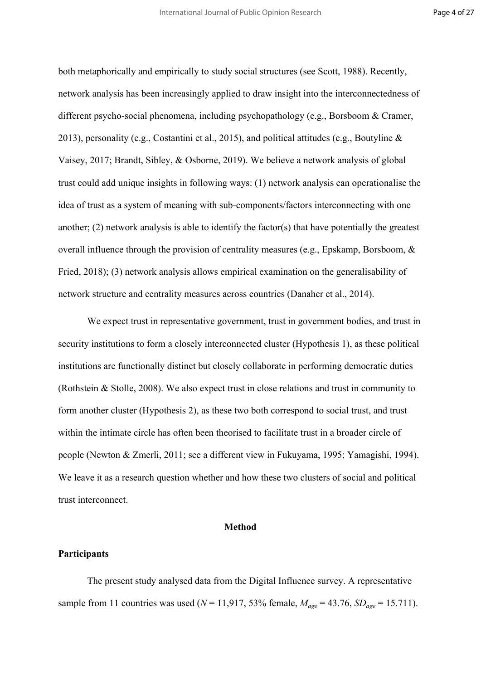both metaphorically and empirically to study social structures (see Scott, 1988). Recently, network analysis has been increasingly applied to draw insight into the interconnectedness of different psycho-social phenomena, including psychopathology (e.g., Borsboom & Cramer, 2013), personality (e.g., Costantini et al., 2015), and political attitudes (e.g., Boutyline & Vaisey, 2017; Brandt, Sibley, & Osborne, 2019). We believe a network analysis of global trust could add unique insights in following ways: (1) network analysis can operationalise the idea of trust as a system of meaning with sub-components/factors interconnecting with one another; (2) network analysis is able to identify the factor(s) that have potentially the greatest overall influence through the provision of centrality measures (e.g., Epskamp, Borsboom, & Fried, 2018); (3) network analysis allows empirical examination on the generalisability of network structure and centrality measures across countries (Danaher et al., 2014).

We expect trust in representative government, trust in government bodies, and trust in security institutions to form a closely interconnected cluster (Hypothesis 1), as these political institutions are functionally distinct but closely collaborate in performing democratic duties (Rothstein & Stolle, 2008). We also expect trust in close relations and trust in community to form another cluster (Hypothesis 2), as these two both correspond to social trust, and trust within the intimate circle has often been theorised to facilitate trust in a broader circle of people (Newton & Zmerli, 2011; see a different view in Fukuyama, 1995; Yamagishi, 1994). We leave it as a research question whether and how these two clusters of social and political trust interconnect.

### **Method**

# **Participants**

The present study analysed data from the Digital Influence survey. A representative sample from 11 countries was used ( $N = 11,917,53\%$  female,  $M_{age} = 43.76, SD_{age} = 15.711$ ).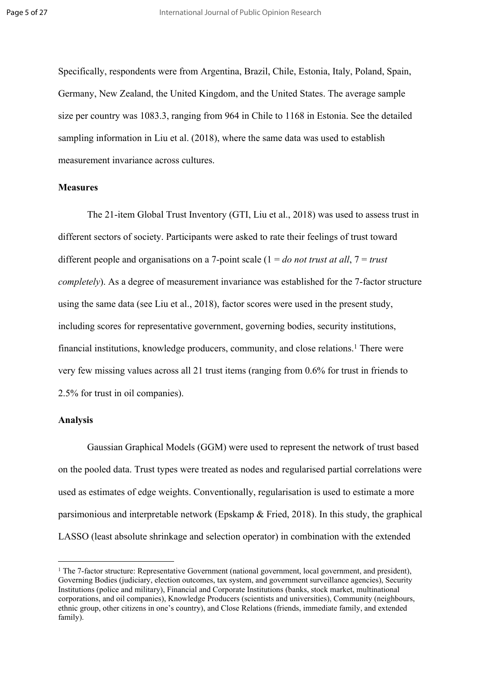Specifically, respondents were from Argentina, Brazil, Chile, Estonia, Italy, Poland, Spain, Germany, New Zealand, the United Kingdom, and the United States. The average sample size per country was 1083.3, ranging from 964 in Chile to 1168 in Estonia. See the detailed sampling information in Liu et al. (2018), where the same data was used to establish measurement invariance across cultures.

#### **Measures**

The 21-item Global Trust Inventory (GTI, Liu et al., 2018) was used to assess trust in different sectors of society. Participants were asked to rate their feelings of trust toward different people and organisations on a 7-point scale (1 = *do not trust at all*, 7 = *trust completely*). As a degree of measurement invariance was established for the 7-factor structure using the same data (see Liu et al., 2018), factor scores were used in the present study, including scores for representative government, governing bodies, security institutions, financial institutions, knowledge producers, community, and close relations.<sup>1</sup> There were very few missing values across all 21 trust items (ranging from 0.6% for trust in friends to 2.5% for trust in oil companies).

#### **Analysis**

Gaussian Graphical Models (GGM) were used to represent the network of trust based on the pooled data. Trust types were treated as nodes and regularised partial correlations were used as estimates of edge weights. Conventionally, regularisation is used to estimate a more parsimonious and interpretable network (Epskamp & Fried, 2018). In this study, the graphical LASSO (least absolute shrinkage and selection operator) in combination with the extended

<sup>&</sup>lt;sup>1</sup> The 7-factor structure: Representative Government (national government, local government, and president), Governing Bodies (judiciary, election outcomes, tax system, and government surveillance agencies), Security Institutions (police and military), Financial and Corporate Institutions (banks, stock market, multinational corporations, and oil companies), Knowledge Producers (scientists and universities), Community (neighbours, ethnic group, other citizens in one's country), and Close Relations (friends, immediate family, and extended family).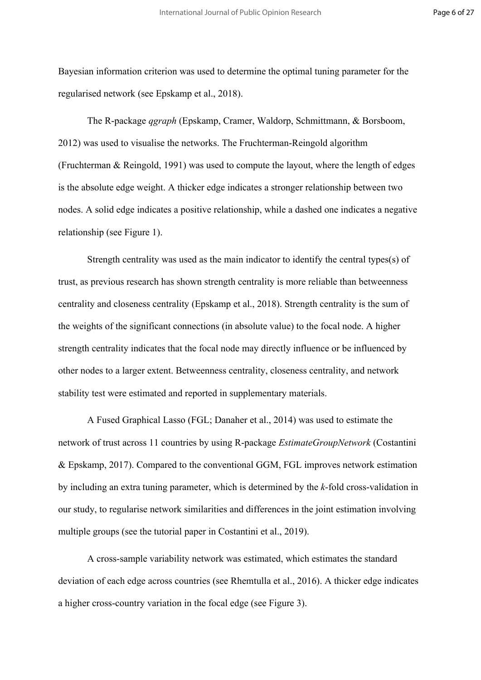Bayesian information criterion was used to determine the optimal tuning parameter for the regularised network (see Epskamp et al., 2018).

The R-package *qgraph* (Epskamp, Cramer, Waldorp, Schmittmann, & Borsboom, 2012) was used to visualise the networks. The Fruchterman-Reingold algorithm (Fruchterman & Reingold, 1991) was used to compute the layout, where the length of edges is the absolute edge weight. A thicker edge indicates a stronger relationship between two nodes. A solid edge indicates a positive relationship, while a dashed one indicates a negative relationship (see Figure 1).

Strength centrality was used as the main indicator to identify the central types(s) of trust, as previous research has shown strength centrality is more reliable than betweenness centrality and closeness centrality (Epskamp et al., 2018). Strength centrality is the sum of the weights of the significant connections (in absolute value) to the focal node. A higher strength centrality indicates that the focal node may directly influence or be influenced by other nodes to a larger extent. Betweenness centrality, closeness centrality, and network stability test were estimated and reported in supplementary materials.

A Fused Graphical Lasso (FGL; Danaher et al., 2014) was used to estimate the network of trust across 11 countries by using R-package *EstimateGroupNetwork* (Costantini & Epskamp, 2017). Compared to the conventional GGM, FGL improves network estimation by including an extra tuning parameter, which is determined by the *k*-fold cross-validation in our study, to regularise network similarities and differences in the joint estimation involving multiple groups (see the tutorial paper in Costantini et al., 2019).

A cross-sample variability network was estimated, which estimates the standard deviation of each edge across countries (see Rhemtulla et al., 2016). A thicker edge indicates a higher cross-country variation in the focal edge (see Figure 3).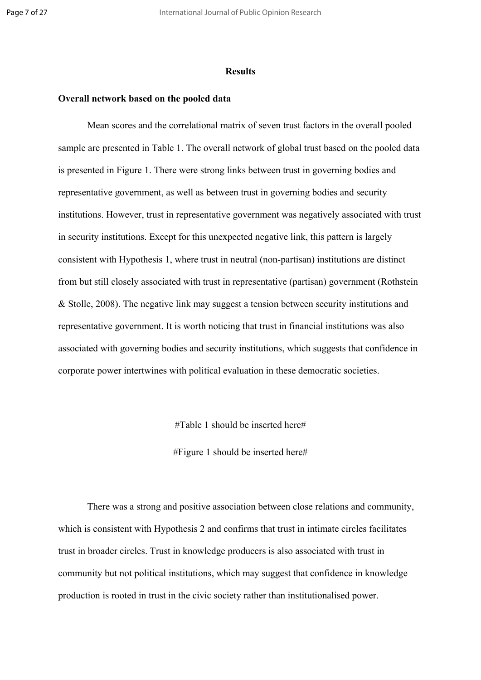#### **Results**

#### **Overall network based on the pooled data**

Mean scores and the correlational matrix of seven trust factors in the overall pooled sample are presented in Table 1. The overall network of global trust based on the pooled data is presented in Figure 1. There were strong links between trust in governing bodies and representative government, as well as between trust in governing bodies and security institutions. However, trust in representative government was negatively associated with trust in security institutions. Except for this unexpected negative link, this pattern is largely consistent with Hypothesis 1, where trust in neutral (non-partisan) institutions are distinct from but still closely associated with trust in representative (partisan) government (Rothstein & Stolle, 2008). The negative link may suggest a tension between security institutions and representative government. It is worth noticing that trust in financial institutions was also associated with governing bodies and security institutions, which suggests that confidence in corporate power intertwines with political evaluation in these democratic societies.

#Table 1 should be inserted here#

#Figure 1 should be inserted here#

There was a strong and positive association between close relations and community, which is consistent with Hypothesis 2 and confirms that trust in intimate circles facilitates trust in broader circles. Trust in knowledge producers is also associated with trust in community but not political institutions, which may suggest that confidence in knowledge production is rooted in trust in the civic society rather than institutionalised power.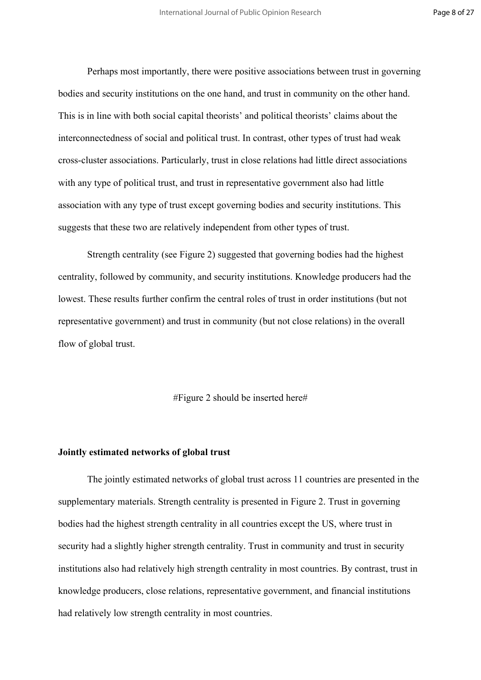Perhaps most importantly, there were positive associations between trust in governing bodies and security institutions on the one hand, and trust in community on the other hand. This is in line with both social capital theorists' and political theorists' claims about the interconnectedness of social and political trust. In contrast, other types of trust had weak cross-cluster associations. Particularly, trust in close relations had little direct associations with any type of political trust, and trust in representative government also had little association with any type of trust except governing bodies and security institutions. This suggests that these two are relatively independent from other types of trust.

Strength centrality (see Figure 2) suggested that governing bodies had the highest centrality, followed by community, and security institutions. Knowledge producers had the lowest. These results further confirm the central roles of trust in order institutions (but not representative government) and trust in community (but not close relations) in the overall flow of global trust.

#### #Figure 2 should be inserted here#

#### **Jointly estimated networks of global trust**

The jointly estimated networks of global trust across 11 countries are presented in the supplementary materials. Strength centrality is presented in Figure 2. Trust in governing bodies had the highest strength centrality in all countries except the US, where trust in security had a slightly higher strength centrality. Trust in community and trust in security institutions also had relatively high strength centrality in most countries. By contrast, trust in knowledge producers, close relations, representative government, and financial institutions had relatively low strength centrality in most countries.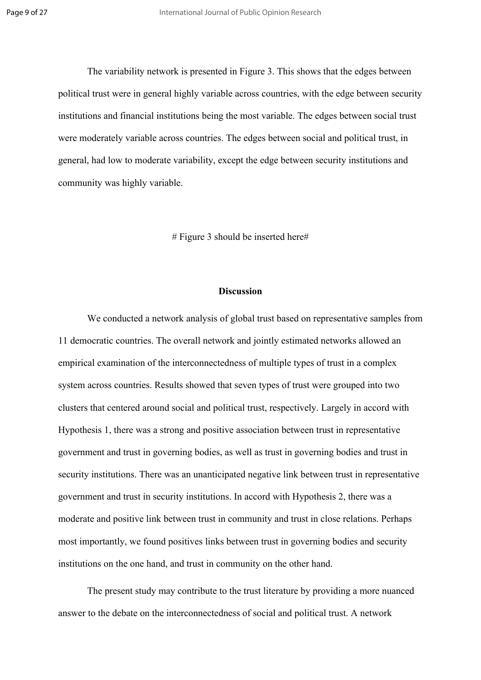The variability network is presented in Figure 3. This shows that the edges between political trust were in general highly variable across countries, with the edge between security institutions and financial institutions being the most variable. The edges between social trust were moderately variable across countries. The edges between social and political trust, in general, had low to moderate variability, except the edge between security institutions and community was highly variable.

# Figure 3 should be inserted here#

#### **Discussion**

We conducted a network analysis of global trust based on representative samples from 11 democratic countries. The overall network and jointly estimated networks allowed an empirical examination of the interconnectedness of multiple types of trust in a complex system across countries. Results showed that seven types of trust were grouped into two clusters that centered around social and political trust, respectively. Largely in accord with Hypothesis 1, there was a strong and positive association between trust in representative government and trust in governing bodies, as well as trust in governing bodies and trust in security institutions. There was an unanticipated negative link between trust in representative government and trust in security institutions. In accord with Hypothesis 2, there was a moderate and positive link between trust in community and trust in close relations. Perhaps most importantly, we found positives links between trust in governing bodies and security institutions on the one hand, and trust in community on the other hand.

The present study may contribute to the trust literature by providing a more nuanced answer to the debate on the interconnectedness of social and political trust. A network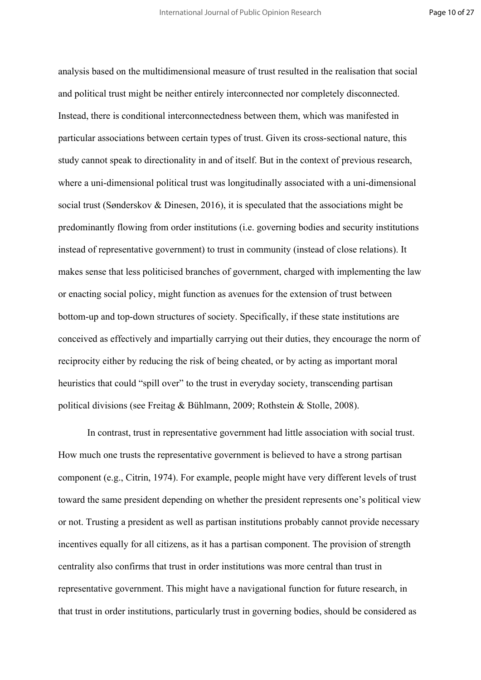analysis based on the multidimensional measure of trust resulted in the realisation that social and political trust might be neither entirely interconnected nor completely disconnected. Instead, there is conditional interconnectedness between them, which was manifested in particular associations between certain types of trust. Given its cross-sectional nature, this study cannot speak to directionality in and of itself. But in the context of previous research, where a uni-dimensional political trust was longitudinally associated with a uni-dimensional social trust (Sønderskov & Dinesen, 2016), it is speculated that the associations might be predominantly flowing from order institutions (i.e. governing bodies and security institutions instead of representative government) to trust in community (instead of close relations). It makes sense that less politicised branches of government, charged with implementing the law or enacting social policy, might function as avenues for the extension of trust between bottom-up and top-down structures of society. Specifically, if these state institutions are conceived as effectively and impartially carrying out their duties, they encourage the norm of reciprocity either by reducing the risk of being cheated, or by acting as important moral heuristics that could "spill over" to the trust in everyday society, transcending partisan political divisions (see Freitag & Bühlmann, 2009; Rothstein & Stolle, 2008).

In contrast, trust in representative government had little association with social trust. How much one trusts the representative government is believed to have a strong partisan component (e.g., Citrin, 1974). For example, people might have very different levels of trust toward the same president depending on whether the president represents one's political view or not. Trusting a president as well as partisan institutions probably cannot provide necessary incentives equally for all citizens, as it has a partisan component. The provision of strength centrality also confirms that trust in order institutions was more central than trust in representative government. This might have a navigational function for future research, in that trust in order institutions, particularly trust in governing bodies, should be considered as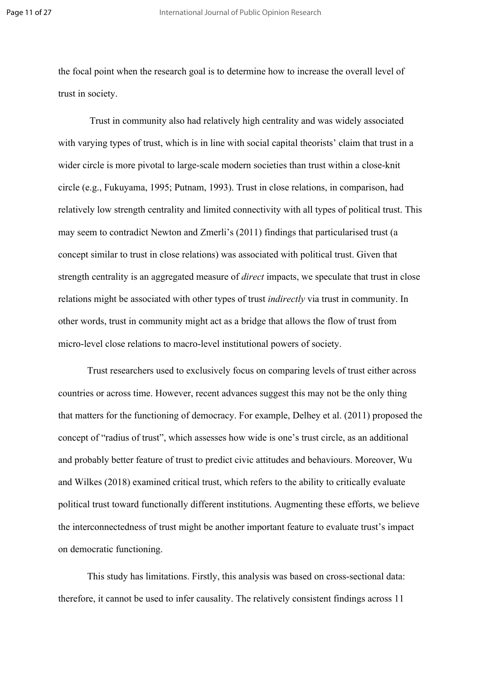the focal point when the research goal is to determine how to increase the overall level of trust in society.

 Trust in community also had relatively high centrality and was widely associated with varying types of trust, which is in line with social capital theorists' claim that trust in a wider circle is more pivotal to large-scale modern societies than trust within a close-knit circle (e.g., Fukuyama, 1995; Putnam, 1993). Trust in close relations, in comparison, had relatively low strength centrality and limited connectivity with all types of political trust. This may seem to contradict Newton and Zmerli's (2011) findings that particularised trust (a concept similar to trust in close relations) was associated with political trust. Given that strength centrality is an aggregated measure of *direct* impacts, we speculate that trust in close relations might be associated with other types of trust *indirectly* via trust in community. In other words, trust in community might act as a bridge that allows the flow of trust from micro-level close relations to macro-level institutional powers of society.

Trust researchers used to exclusively focus on comparing levels of trust either across countries or across time. However, recent advances suggest this may not be the only thing that matters for the functioning of democracy. For example, Delhey et al. (2011) proposed the concept of "radius of trust", which assesses how wide is one's trust circle, as an additional and probably better feature of trust to predict civic attitudes and behaviours. Moreover, Wu and Wilkes (2018) examined critical trust, which refers to the ability to critically evaluate political trust toward functionally different institutions. Augmenting these efforts, we believe the interconnectedness of trust might be another important feature to evaluate trust's impact on democratic functioning.

This study has limitations. Firstly, this analysis was based on cross-sectional data: therefore, it cannot be used to infer causality. The relatively consistent findings across 11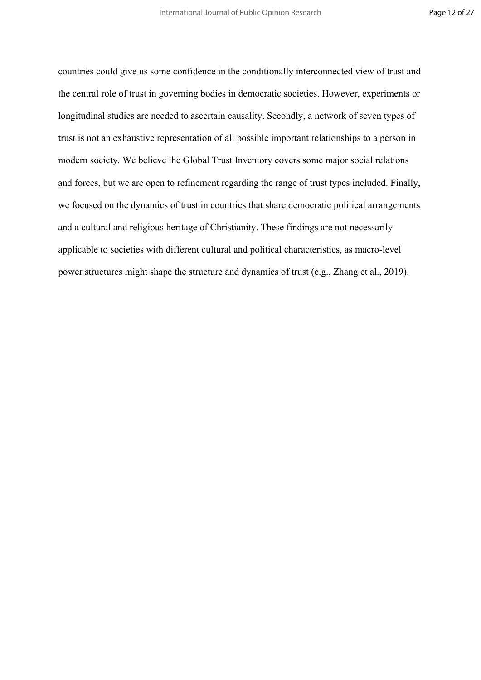countries could give us some confidence in the conditionally interconnected view of trust and the central role of trust in governing bodies in democratic societies. However, experiments or longitudinal studies are needed to ascertain causality. Secondly, a network of seven types of trust is not an exhaustive representation of all possible important relationships to a person in modern society. We believe the Global Trust Inventory covers some major social relations and forces, but we are open to refinement regarding the range of trust types included. Finally, we focused on the dynamics of trust in countries that share democratic political arrangements and a cultural and religious heritage of Christianity. These findings are not necessarily applicable to societies with different cultural and political characteristics, as macro-level power structures might shape the structure and dynamics of trust (e.g., Zhang et al., 2019).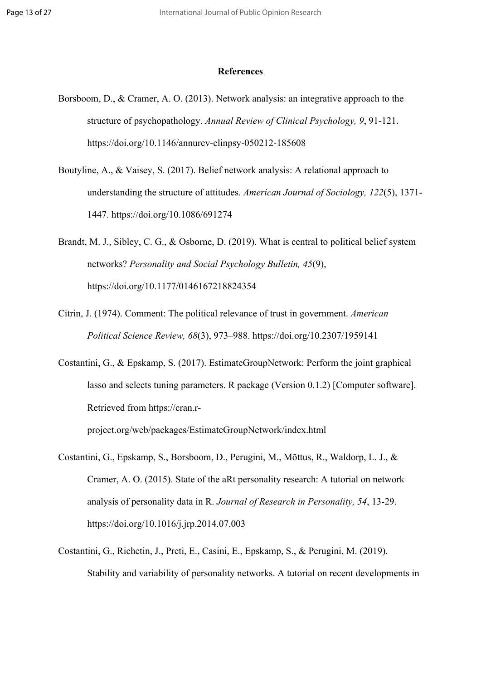#### **References**

- Borsboom, D., & Cramer, A. O. (2013). Network analysis: an integrative approach to the structure of psychopathology. *Annual Review of Clinical Psychology, 9*, 91-121. https://doi.org/10.1146/annurev-clinpsy-050212-185608
- Boutyline, A., & Vaisey, S. (2017). Belief network analysis: A relational approach to understanding the structure of attitudes. *American Journal of Sociology, 122*(5), 1371- 1447. https://doi.org/10.1086/691274
- Brandt, M. J., Sibley, C. G., & Osborne, D. (2019). What is central to political belief system networks? *Personality and Social Psychology Bulletin, 45*(9), https://doi.org/10.1177/0146167218824354
- Citrin, J. (1974). Comment: The political relevance of trust in government. *American Political Science Review, 68*(3), 973–988. https://doi.org/10.2307/1959141
- Costantini, G., & Epskamp, S. (2017). EstimateGroupNetwork: Perform the joint graphical lasso and selects tuning parameters. R package (Version 0.1.2) [Computer software]. Retrieved from https://cran.r-

project.org/web/packages/EstimateGroupNetwork/index.html

- Costantini, G., Epskamp, S., Borsboom, D., Perugini, M., Mõttus, R., Waldorp, L. J., & Cramer, A. O. (2015). State of the aRt personality research: A tutorial on network analysis of personality data in R. *Journal of Research in Personality, 54*, 13-29. https://doi.org/10.1016/j.jrp.2014.07.003
- Costantini, G., Richetin, J., Preti, E., Casini, E., Epskamp, S., & Perugini, M. (2019). Stability and variability of personality networks. A tutorial on recent developments in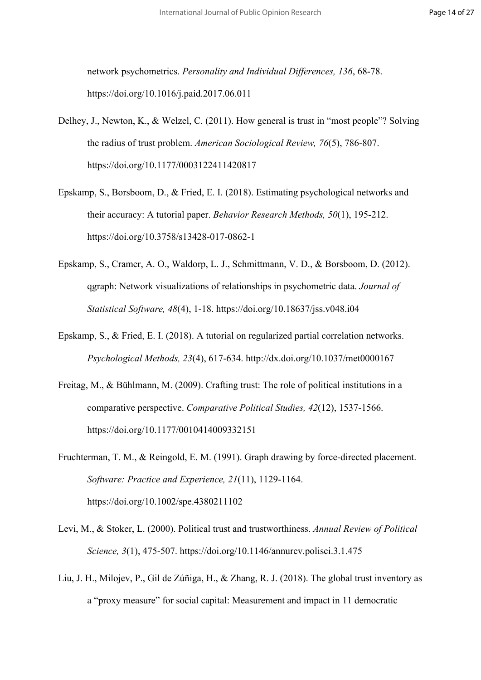network psychometrics. *Personality and Individual Differences, 136*, 68-78. https://doi.org/10.1016/j.paid.2017.06.011

- Delhey, J., Newton, K., & Welzel, C. (2011). How general is trust in "most people"? Solving the radius of trust problem. *American Sociological Review, 76*(5), 786-807. https://doi.org/10.1177/0003122411420817
- Epskamp, S., Borsboom, D., & Fried, E. I. (2018). Estimating psychological networks and their accuracy: A tutorial paper. *Behavior Research Methods, 50*(1), 195-212. https://doi.org/10.3758/s13428-017-0862-1
- Epskamp, S., Cramer, A. O., Waldorp, L. J., Schmittmann, V. D., & Borsboom, D. (2012). qgraph: Network visualizations of relationships in psychometric data. *Journal of Statistical Software, 48*(4), 1-18. https://doi.org/10.18637/jss.v048.i04
- Epskamp, S., & Fried, E. I. (2018). A tutorial on regularized partial correlation networks. *Psychological Methods, 23*(4), 617-634. http://dx.doi.org/10.1037/met0000167
- Freitag, M., & Bühlmann, M. (2009). Crafting trust: The role of political institutions in a comparative perspective. *Comparative Political Studies, 42*(12), 1537-1566. https://doi.org/10.1177/0010414009332151
- Fruchterman, T. M., & Reingold, E. M. (1991). Graph drawing by force-directed placement. *Software: Practice and Experience, 21*(11), 1129-1164. https://doi.org/10.1002/spe.4380211102
- Levi, M., & Stoker, L. (2000). Political trust and trustworthiness. *Annual Review of Political Science, 3*(1), 475-507. https://doi.org/10.1146/annurev.polisci.3.1.475
- Liu, J. H., Milojev, P., Gil de Zúñiga, H., & Zhang, R. J. (2018). The global trust inventory as a "proxy measure" for social capital: Measurement and impact in 11 democratic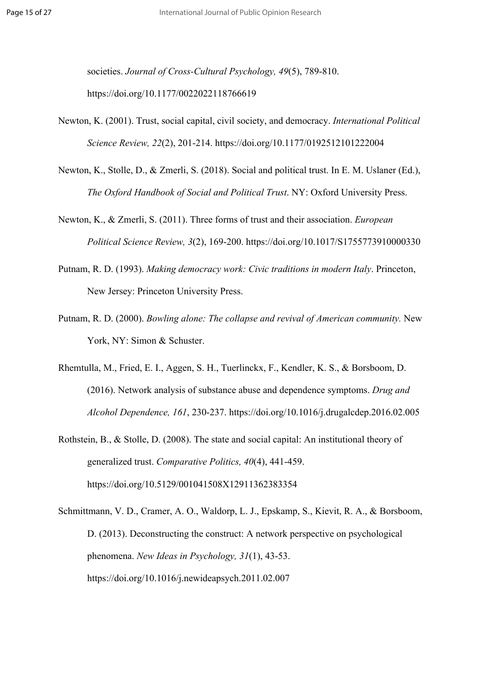societies. *Journal of Cross-Cultural Psychology, 49*(5), 789-810. https://doi.org/10.1177/0022022118766619

- Newton, K. (2001). Trust, social capital, civil society, and democracy. *International Political Science Review, 22*(2), 201-214. https://doi.org/10.1177/0192512101222004
- Newton, K., Stolle, D., & Zmerli, S. (2018). Social and political trust. In E. M. Uslaner (Ed.), *The Oxford Handbook of Social and Political Trust*. NY: Oxford University Press.
- Newton, K., & Zmerli, S. (2011). Three forms of trust and their association. *European Political Science Review, 3*(2), 169-200. https://doi.org/10.1017/S1755773910000330
- Putnam, R. D. (1993). *Making democracy work: Civic traditions in modern Italy*. Princeton, New Jersey: Princeton University Press.
- Putnam, R. D. (2000). *Bowling alone: The collapse and revival of American community.* New York, NY: Simon & Schuster.
- Rhemtulla, M., Fried, E. I., Aggen, S. H., Tuerlinckx, F., Kendler, K. S., & Borsboom, D. (2016). Network analysis of substance abuse and dependence symptoms. *Drug and Alcohol Dependence, 161*, 230-237. https://doi.org/10.1016/j.drugalcdep.2016.02.005
- Rothstein, B., & Stolle, D. (2008). The state and social capital: An institutional theory of generalized trust. *Comparative Politics, 40*(4), 441-459. https://doi.org/10.5129/001041508X12911362383354
- Schmittmann, V. D., Cramer, A. O., Waldorp, L. J., Epskamp, S., Kievit, R. A., & Borsboom, D. (2013). Deconstructing the construct: A network perspective on psychological phenomena. *New Ideas in Psychology, 31*(1), 43-53. https://doi.org/10.1016/j.newideapsych.2011.02.007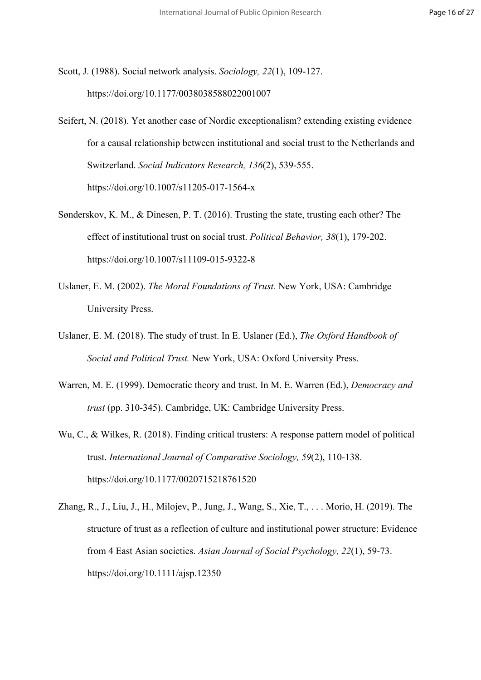Scott, J. (1988). Social network analysis. *Sociology, 22*(1), 109-127. https://doi.org/10.1177/0038038588022001007

- Seifert, N. (2018). Yet another case of Nordic exceptionalism? extending existing evidence for a causal relationship between institutional and social trust to the Netherlands and Switzerland. *Social Indicators Research, 136*(2), 539-555. https://doi.org/10.1007/s11205-017-1564-x
- Sønderskov, K. M., & Dinesen, P. T. (2016). Trusting the state, trusting each other? The effect of institutional trust on social trust. *Political Behavior, 38*(1), 179-202. https://doi.org/10.1007/s11109-015-9322-8
- Uslaner, E. M. (2002). *The Moral Foundations of Trust.* New York, USA: Cambridge University Press.
- Uslaner, E. M. (2018). The study of trust. In E. Uslaner (Ed.), *The Oxford Handbook of Social and Political Trust.* New York, USA: Oxford University Press.
- Warren, M. E. (1999). Democratic theory and trust. In M. E. Warren (Ed.), *Democracy and trust* (pp. 310-345). Cambridge, UK: Cambridge University Press.
- Wu, C., & Wilkes, R. (2018). Finding critical trusters: A response pattern model of political trust. *International Journal of Comparative Sociology, 59*(2), 110-138. https://doi.org/10.1177/0020715218761520
- Zhang, R., J., Liu, J., H., Milojev, P., Jung, J., Wang, S., Xie, T., . . . Morio, H. (2019). The structure of trust as a reflection of culture and institutional power structure: Evidence from 4 East Asian societies. *Asian Journal of Social Psychology, 22*(1), 59-73. https://doi.org/10.1111/ajsp.12350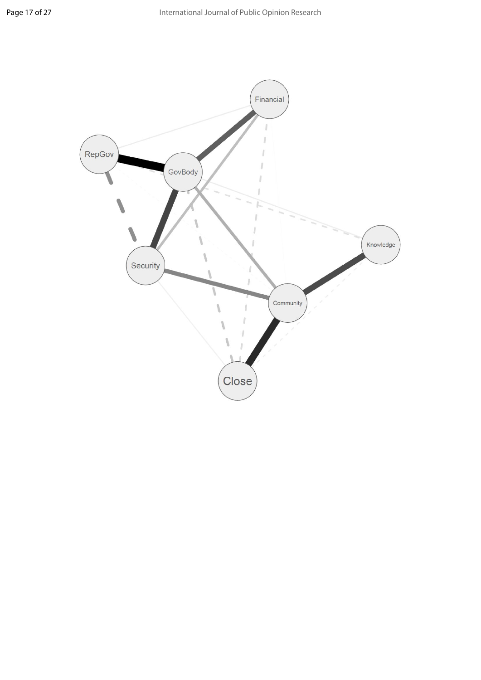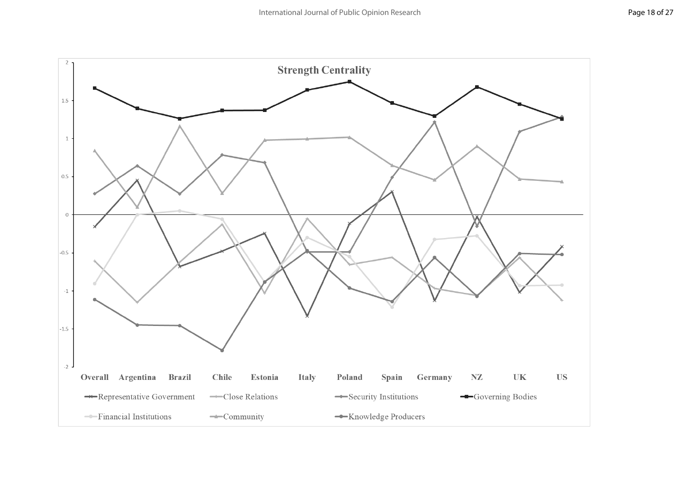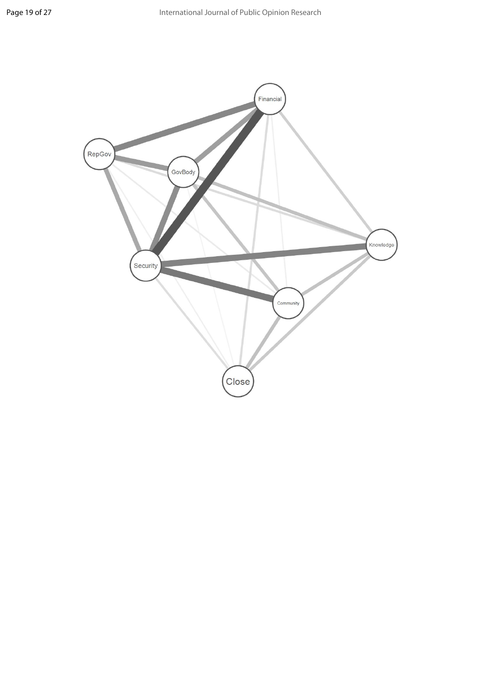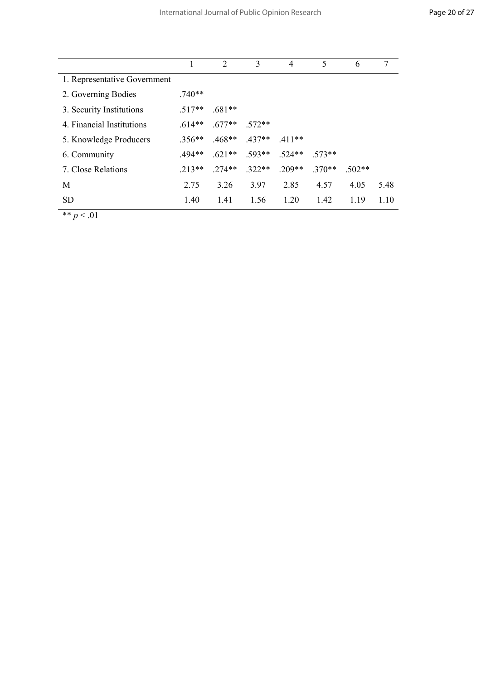|                              |          | 2        | 3        | 4       | 5       | 6       |      |
|------------------------------|----------|----------|----------|---------|---------|---------|------|
| 1. Representative Government |          |          |          |         |         |         |      |
| 2. Governing Bodies          | 740**    |          |          |         |         |         |      |
| 3. Security Institutions     | 517**    | $.681**$ |          |         |         |         |      |
| 4. Financial Institutions    | $.614**$ | $.677**$ | $.572**$ |         |         |         |      |
| 5. Knowledge Producers       | $.356**$ | $.468**$ | 437**    | 411**   |         |         |      |
| 6. Community                 | 494**    | $621**$  | $.593**$ | 524**   | 573**   |         |      |
| 7. Close Relations           | $213**$  | $274**$  | $.322**$ | $209**$ | $370**$ | $502**$ |      |
| M                            | 2.75     | 3.26     | 3.97     | 2.85    | 4.57    | 4.05    | 5.48 |
| <b>SD</b>                    | 1.40     | 1.41     | 1.56     | 1.20    | 1.42    | 1.19    | 1.10 |

\*\*  $p < .01$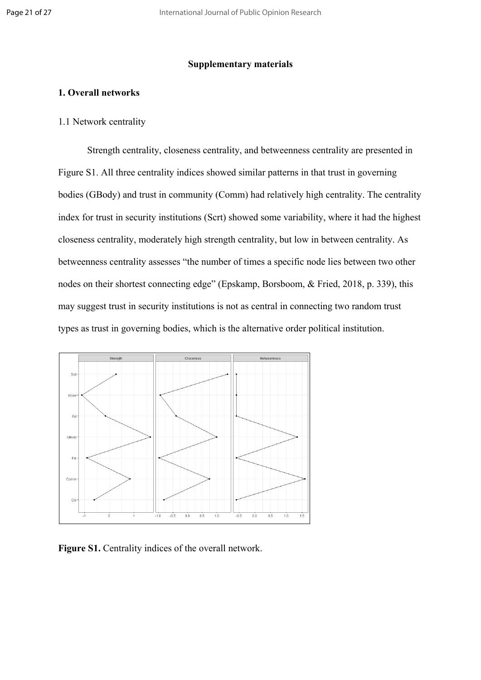#### **Supplementary materials**

# **1. Overall networks**

# 1.1 Network centrality

Strength centrality, closeness centrality, and betweenness centrality are presented in Figure S1. All three centrality indices showed similar patterns in that trust in governing bodies (GBody) and trust in community (Comm) had relatively high centrality. The centrality index for trust in security institutions (Scrt) showed some variability, where it had the highest closeness centrality, moderately high strength centrality, but low in between centrality. As betweenness centrality assesses "the number of times a specific node lies between two other nodes on their shortest connecting edge" (Epskamp, Borsboom, & Fried, 2018, p. 339), this may suggest trust in security institutions is not as central in connecting two random trust types as trust in governing bodies, which is the alternative order political institution.



Figure S1. Centrality indices of the overall network.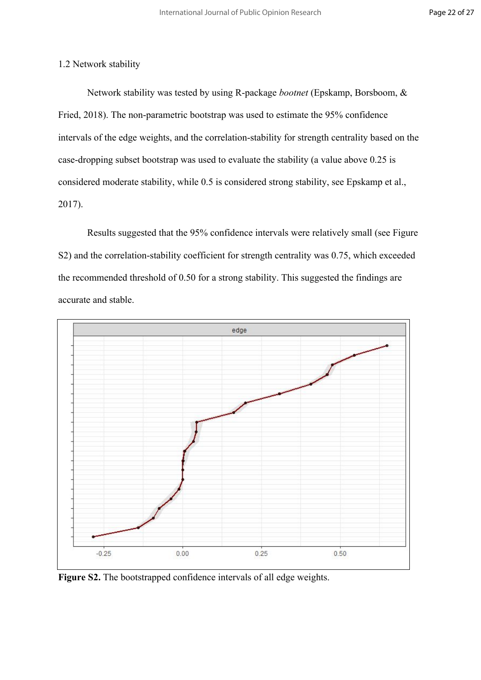#### 1.2 Network stability

Network stability was tested by using R-package *bootnet* (Epskamp, Borsboom, & Fried, 2018). The non-parametric bootstrap was used to estimate the 95% confidence intervals of the edge weights, and the correlation-stability for strength centrality based on the case-dropping subset bootstrap was used to evaluate the stability (a value above 0.25 is considered moderate stability, while 0.5 is considered strong stability, see Epskamp et al., 2017).

Results suggested that the 95% confidence intervals were relatively small (see Figure S2) and the correlation-stability coefficient for strength centrality was 0.75, which exceeded the recommended threshold of 0.50 for a strong stability. This suggested the findings are accurate and stable.



**Figure S2.** The bootstrapped confidence intervals of all edge weights.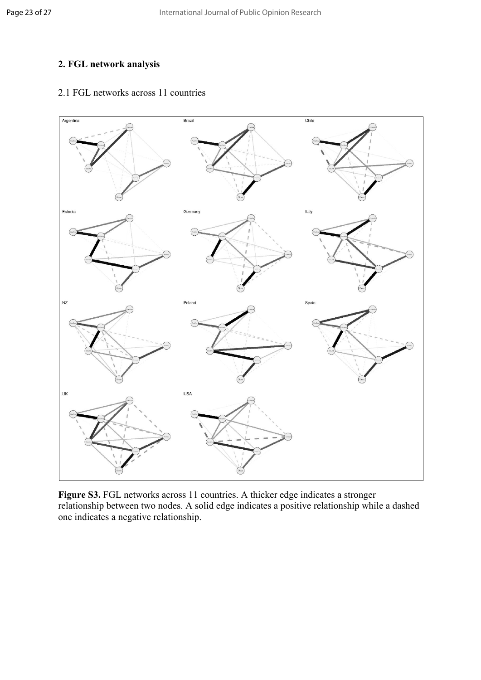# **2. FGL network analysis**

# 2.1 FGL networks across 11 countries



Figure S3. FGL networks across 11 countries. A thicker edge indicates a stronger relationship between two nodes. A solid edge indicates a positive relationship while a dashed one indicates a negative relationship.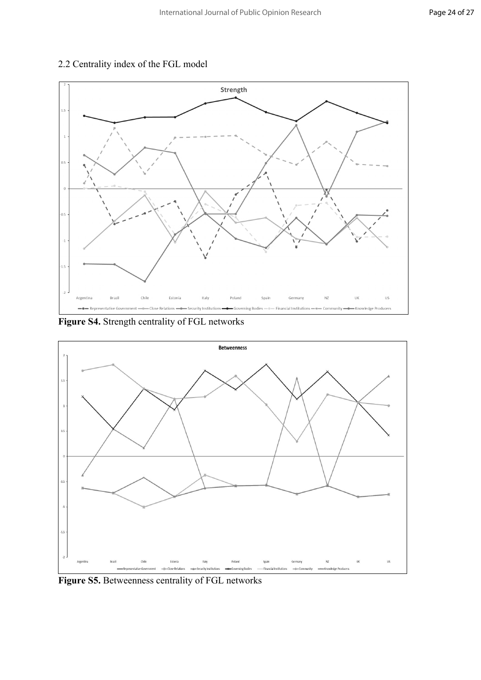# 2.2 Centrality index of the FGL model



**Figure S4.** Strength centrality of FGL networks



**Figure S5.** Betweenness centrality of FGL networks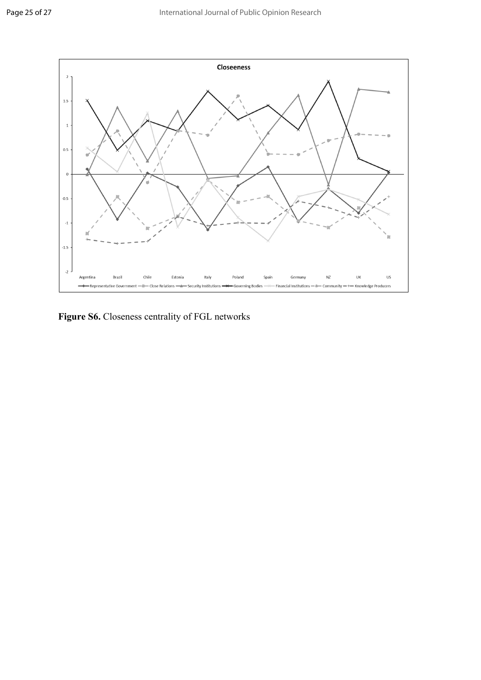

**Figure S6.** Closeness centrality of FGL networks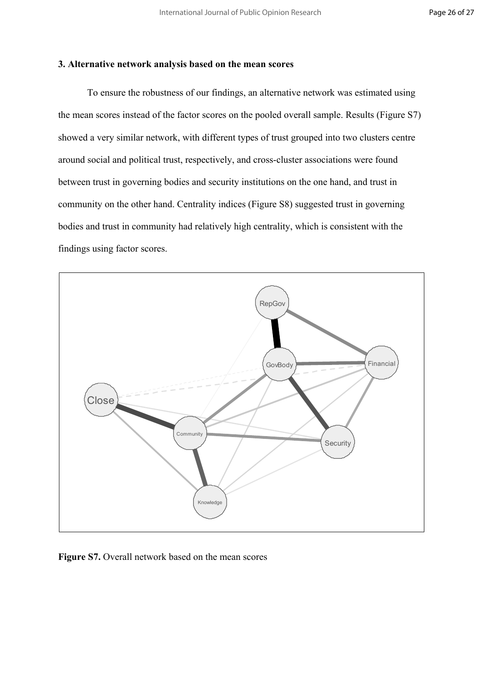# **3. Alternative network analysis based on the mean scores**

To ensure the robustness of our findings, an alternative network was estimated using the mean scores instead of the factor scores on the pooled overall sample. Results (Figure S7) showed a very similar network, with different types of trust grouped into two clusters centre around social and political trust, respectively, and cross-cluster associations were found between trust in governing bodies and security institutions on the one hand, and trust in community on the other hand. Centrality indices (Figure S8) suggested trust in governing bodies and trust in community had relatively high centrality, which is consistent with the findings using factor scores.



Figure S7. Overall network based on the mean scores